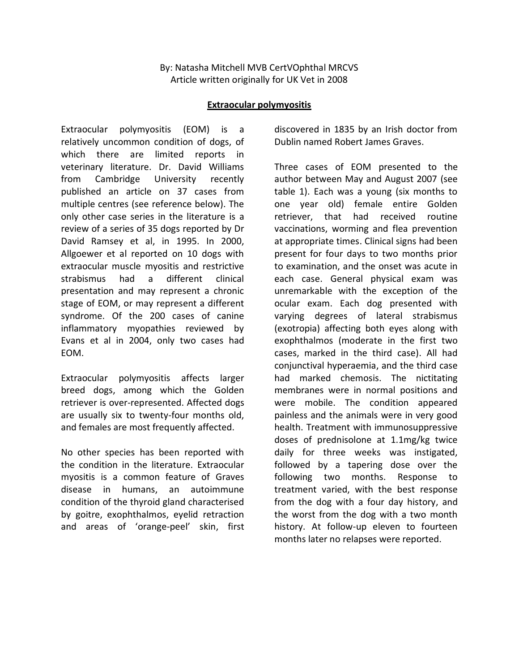## By: Natasha Mitchell MVB CertVOphthal MRCVS Article written originally for UK Vet in 2008

## **Extraocular polymyositis**

Extraocular polymyositis (EOM) is a relatively uncommon condition of dogs, of which there are limited reports in veterinary literature. Dr. David Williams from Cambridge University recently published an article on 37 cases from multiple centres (see reference below). The only other case series in the literature is a review of a series of 35 dogs reported by Dr David Ramsey et al, in 1995. In 2000, Allgoewer et al reported on 10 dogs with extraocular muscle myositis and restrictive strabismus had a different clinical presentation and may represent a chronic stage of EOM, or may represent a different syndrome. Of the 200 cases of canine inflammatory myopathies reviewed by Evans et al in 2004, only two cases had EOM.

Extraocular polymyositis affects larger breed dogs, among which the Golden retriever is over-represented. Affected dogs are usually six to twenty-four months old, and females are most frequently affected.

No other species has been reported with the condition in the literature. Extraocular myositis is a common feature of Graves disease in humans, an autoimmune condition of the thyroid gland characterised by goitre, exophthalmos, eyelid retraction and areas of 'orange-peel' skin, first discovered in 1835 by an Irish doctor from Dublin named Robert James Graves.

Three cases of EOM presented to the author between May and August 2007 (see table 1). Each was a young (six months to one year old) female entire Golden retriever, that had received routine vaccinations, worming and flea prevention at appropriate times. Clinical signs had been present for four days to two months prior to examination, and the onset was acute in each case. General physical exam was unremarkable with the exception of the ocular exam. Each dog presented with varying degrees of lateral strabismus (exotropia) affecting both eyes along with exophthalmos (moderate in the first two cases, marked in the third case). All had conjunctival hyperaemia, and the third case had marked chemosis. The nictitating membranes were in normal positions and were mobile. The condition appeared painless and the animals were in very good health. Treatment with immunosuppressive doses of prednisolone at 1.1mg/kg twice daily for three weeks was instigated, followed by a tapering dose over the following two months. Response to treatment varied, with the best response from the dog with a four day history, and the worst from the dog with a two month history. At follow-up eleven to fourteen months later no relapses were reported.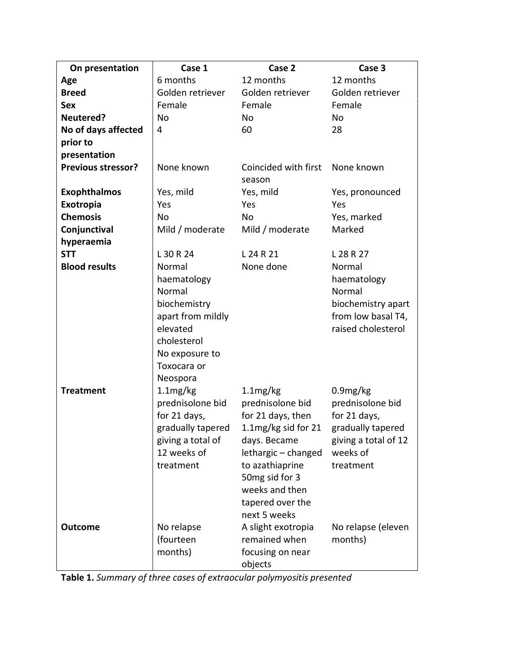| On presentation           | Case 1                                                                                                                             | Case 2                                                                                                                                                                                                        | Case 3                                                                                                             |
|---------------------------|------------------------------------------------------------------------------------------------------------------------------------|---------------------------------------------------------------------------------------------------------------------------------------------------------------------------------------------------------------|--------------------------------------------------------------------------------------------------------------------|
| Age                       | 6 months                                                                                                                           | 12 months                                                                                                                                                                                                     | 12 months                                                                                                          |
| <b>Breed</b>              | Golden retriever                                                                                                                   | Golden retriever                                                                                                                                                                                              | Golden retriever                                                                                                   |
| <b>Sex</b>                | Female                                                                                                                             | Female                                                                                                                                                                                                        | Female                                                                                                             |
| Neutered?                 | No                                                                                                                                 | <b>No</b>                                                                                                                                                                                                     | No                                                                                                                 |
| No of days affected       | 4                                                                                                                                  | 60                                                                                                                                                                                                            | 28                                                                                                                 |
| prior to                  |                                                                                                                                    |                                                                                                                                                                                                               |                                                                                                                    |
| presentation              |                                                                                                                                    |                                                                                                                                                                                                               |                                                                                                                    |
| <b>Previous stressor?</b> | None known                                                                                                                         | Coincided with first<br>season                                                                                                                                                                                | None known                                                                                                         |
| <b>Exophthalmos</b>       | Yes, mild                                                                                                                          | Yes, mild                                                                                                                                                                                                     | Yes, pronounced                                                                                                    |
| Exotropia                 | Yes                                                                                                                                | Yes                                                                                                                                                                                                           | Yes                                                                                                                |
| <b>Chemosis</b>           | N <sub>o</sub>                                                                                                                     | <b>No</b>                                                                                                                                                                                                     | Yes, marked                                                                                                        |
| Conjunctival              | Mild / moderate                                                                                                                    | Mild / moderate                                                                                                                                                                                               | Marked                                                                                                             |
| hyperaemia                |                                                                                                                                    |                                                                                                                                                                                                               |                                                                                                                    |
| <b>STT</b>                | L 30 R 24                                                                                                                          | L 24 R 21                                                                                                                                                                                                     | L 28 R 27                                                                                                          |
| <b>Blood results</b>      | Normal                                                                                                                             | None done                                                                                                                                                                                                     | Normal                                                                                                             |
|                           | haematology<br>Normal<br>biochemistry<br>apart from mildly<br>elevated<br>cholesterol<br>No exposure to<br>Toxocara or<br>Neospora |                                                                                                                                                                                                               | haematology<br>Normal<br>biochemistry apart<br>from low basal T4,<br>raised cholesterol                            |
| <b>Treatment</b>          | 1.1mg/kg<br>prednisolone bid<br>for 21 days,<br>gradually tapered<br>giving a total of<br>12 weeks of<br>treatment                 | 1.1mg/kg<br>prednisolone bid<br>for 21 days, then<br>1.1 $mg/kg$ sid for 21<br>days. Became<br>lethargic - changed<br>to azathiaprine<br>50mg sid for 3<br>weeks and then<br>tapered over the<br>next 5 weeks | 0.9mg/kg<br>prednisolone bid<br>for 21 days,<br>gradually tapered<br>giving a total of 12<br>weeks of<br>treatment |
| <b>Outcome</b>            | No relapse<br>(fourteen<br>months)                                                                                                 | A slight exotropia<br>remained when<br>focusing on near<br>objects                                                                                                                                            | No relapse (eleven<br>months)                                                                                      |

**Table 1.** *Summary of three cases of extraocular polymyositis presented*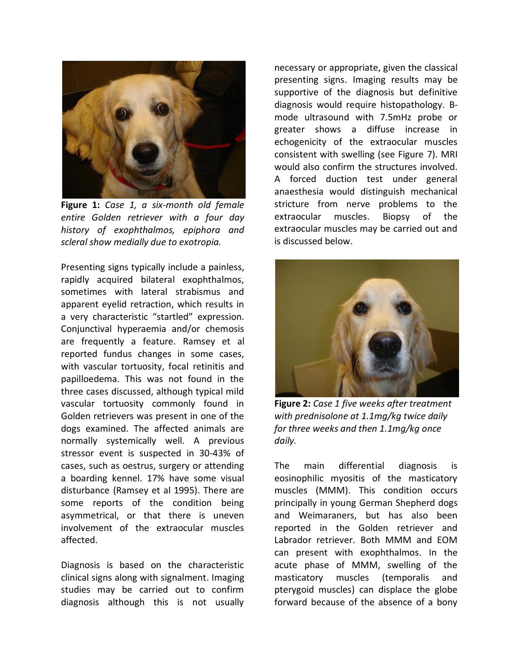

**Figure 1:** *Case 1, a six-month old female entire Golden retriever with a four day history of exophthalmos, epiphora and scleral show medially due to exotropia.*

Presenting signs typically include a painless, rapidly acquired bilateral exophthalmos, sometimes with lateral strabismus and apparent eyelid retraction, which results in a very characteristic "startled" expression. Conjunctival hyperaemia and/or chemosis are frequently a feature. Ramsey et al reported fundus changes in some cases, with vascular tortuosity, focal retinitis and papilloedema. This was not found in the three cases discussed, although typical mild vascular tortuosity commonly found in Golden retrievers was present in one of the dogs examined. The affected animals are normally systemically well. A previous stressor event is suspected in 30-43% of cases, such as oestrus, surgery or attending a boarding kennel. 17% have some visual disturbance (Ramsey et al 1995). There are some reports of the condition being asymmetrical, or that there is uneven involvement of the extraocular muscles affected.

Diagnosis is based on the characteristic clinical signs along with signalment. Imaging studies may be carried out to confirm diagnosis although this is not usually

necessary or appropriate, given the classical presenting signs. Imaging results may be supportive of the diagnosis but definitive diagnosis would require histopathology. Bmode ultrasound with 7.5mHz probe or greater shows a diffuse increase in echogenicity of the extraocular muscles consistent with swelling (see Figure 7). MRI would also confirm the structures involved. A forced duction test under general anaesthesia would distinguish mechanical stricture from nerve problems to the extraocular muscles. Biopsy of the extraocular muscles may be carried out and is discussed below.



**Figure 2:** *Case 1 five weeks after treatment with prednisolone at 1.1mg/kg twice daily for three weeks and then 1.1mg/kg once daily.*

The main differential diagnosis is eosinophilic myositis of the masticatory muscles (MMM). This condition occurs principally in young German Shepherd dogs and Weimaraners, but has also been reported in the Golden retriever and Labrador retriever. Both MMM and EOM can present with exophthalmos. In the acute phase of MMM, swelling of the masticatory muscles (temporalis and pterygoid muscles) can displace the globe forward because of the absence of a bony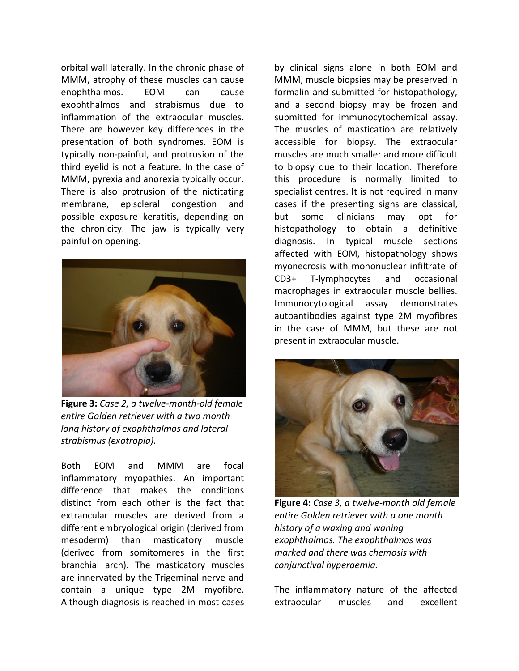orbital wall laterally. In the chronic phase of MMM, atrophy of these muscles can cause enophthalmos. EOM can cause exophthalmos and strabismus due to inflammation of the extraocular muscles. There are however key differences in the presentation of both syndromes. EOM is typically non-painful, and protrusion of the third eyelid is not a feature. In the case of MMM, pyrexia and anorexia typically occur. There is also protrusion of the nictitating membrane, episcleral congestion and possible exposure keratitis, depending on the chronicity. The jaw is typically very painful on opening.



**Figure 3:** *Case 2, a twelve-month-old female entire Golden retriever with a two month long history of exophthalmos and lateral strabismus (exotropia).*

Both EOM and MMM are focal inflammatory myopathies. An important difference that makes the conditions distinct from each other is the fact that extraocular muscles are derived from a different embryological origin (derived from mesoderm) than masticatory muscle (derived from somitomeres in the first branchial arch). The masticatory muscles are innervated by the Trigeminal nerve and contain a unique type 2M myofibre. Although diagnosis is reached in most cases

by clinical signs alone in both EOM and MMM, muscle biopsies may be preserved in formalin and submitted for histopathology, and a second biopsy may be frozen and submitted for immunocytochemical assay. The muscles of mastication are relatively accessible for biopsy. The extraocular muscles are much smaller and more difficult to biopsy due to their location. Therefore this procedure is normally limited to specialist centres. It is not required in many cases if the presenting signs are classical, but some clinicians may opt for histopathology to obtain a definitive diagnosis. In typical muscle sections affected with EOM, histopathology shows myonecrosis with mononuclear infiltrate of CD3+ T-lymphocytes and occasional macrophages in extraocular muscle bellies. Immunocytological assay demonstrates autoantibodies against type 2M myofibres in the case of MMM, but these are not present in extraocular muscle.



**Figure 4:** *Case 3, a twelve-month old female entire Golden retriever with a one month history of a waxing and waning exophthalmos. The exophthalmos was marked and there was chemosis with conjunctival hyperaemia.* 

The inflammatory nature of the affected extraocular muscles and excellent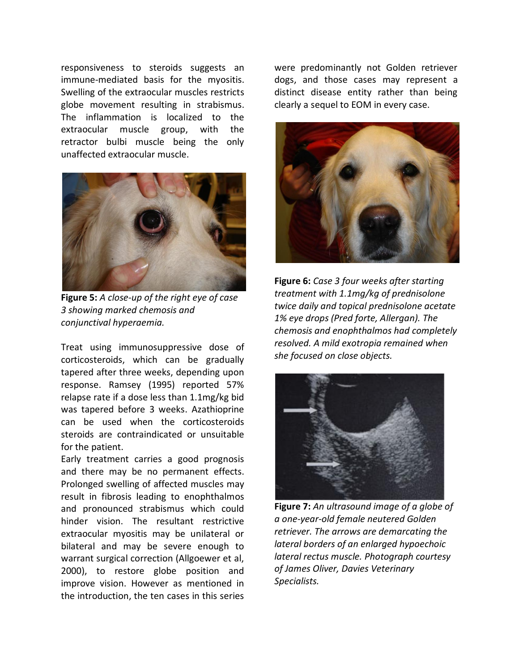responsiveness to steroids suggests an immune-mediated basis for the myositis. Swelling of the extraocular muscles restricts globe movement resulting in strabismus. The inflammation is localized to the extraocular muscle group, with the retractor bulbi muscle being the only unaffected extraocular muscle.



**Figure 5:** *A close-up of the right eye of case 3 showing marked chemosis and conjunctival hyperaemia.*

Treat using immunosuppressive dose of corticosteroids, which can be gradually tapered after three weeks, depending upon response. Ramsey (1995) reported 57% relapse rate if a dose less than 1.1mg/kg bid was tapered before 3 weeks. Azathioprine can be used when the corticosteroids steroids are contraindicated or unsuitable for the patient.

Early treatment carries a good prognosis and there may be no permanent effects. Prolonged swelling of affected muscles may result in fibrosis leading to enophthalmos and pronounced strabismus which could hinder vision. The resultant restrictive extraocular myositis may be unilateral or bilateral and may be severe enough to warrant surgical correction (Allgoewer et al, 2000), to restore globe position and improve vision. However as mentioned in the introduction, the ten cases in this series

were predominantly not Golden retriever dogs, and those cases may represent a distinct disease entity rather than being clearly a sequel to EOM in every case.



**Figure 6:** *Case 3 four weeks after starting treatment with 1.1mg/kg of prednisolone twice daily and topical prednisolone acetate 1% eye drops (Pred forte, Allergan). The chemosis and enophthalmos had completely resolved. A mild exotropia remained when she focused on close objects.*



**Figure 7:** *An ultrasound image of a globe of a one-year-old female neutered Golden retriever. The arrows are demarcating the lateral borders of an enlarged hypoechoic lateral rectus muscle. Photograph courtesy of James Oliver, Davies Veterinary Specialists.*